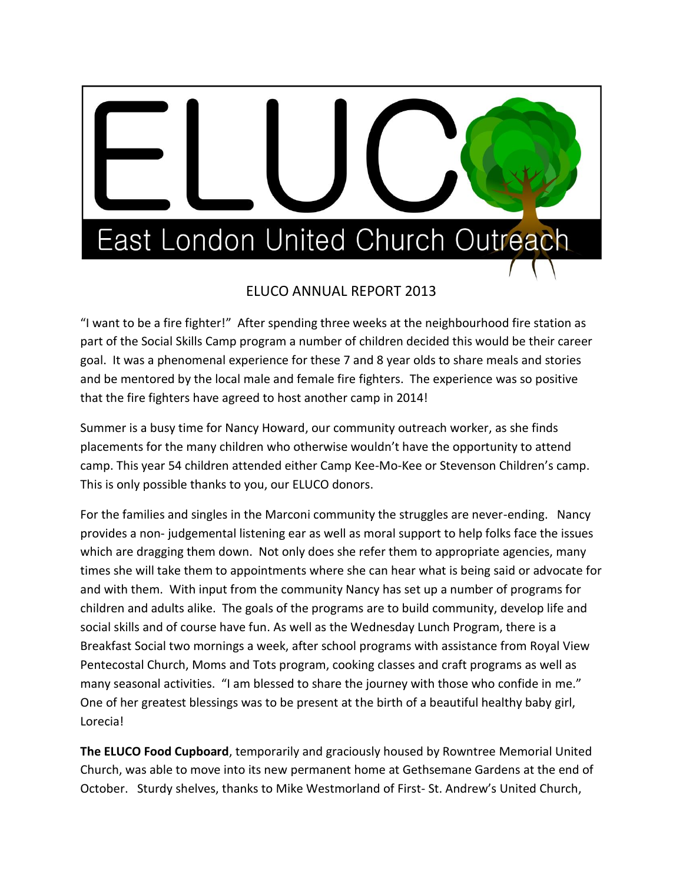

## ELUCO ANNUAL REPORT 2013

"I want to be a fire fighter!" After spending three weeks at the neighbourhood fire station as part of the Social Skills Camp program a number of children decided this would be their career goal. It was a phenomenal experience for these 7 and 8 year olds to share meals and stories and be mentored by the local male and female fire fighters. The experience was so positive that the fire fighters have agreed to host another camp in 2014!

Summer is a busy time for Nancy Howard, our community outreach worker, as she finds placements for the many children who otherwise wouldn't have the opportunity to attend camp. This year 54 children attended either Camp Kee-Mo-Kee or Stevenson Children's camp. This is only possible thanks to you, our ELUCO donors.

For the families and singles in the Marconi community the struggles are never-ending. Nancy provides a non- judgemental listening ear as well as moral support to help folks face the issues which are dragging them down. Not only does she refer them to appropriate agencies, many times she will take them to appointments where she can hear what is being said or advocate for and with them. With input from the community Nancy has set up a number of programs for children and adults alike. The goals of the programs are to build community, develop life and social skills and of course have fun. As well as the Wednesday Lunch Program, there is a Breakfast Social two mornings a week, after school programs with assistance from Royal View Pentecostal Church, Moms and Tots program, cooking classes and craft programs as well as many seasonal activities. "I am blessed to share the journey with those who confide in me." One of her greatest blessings was to be present at the birth of a beautiful healthy baby girl, Lorecia!

**The ELUCO Food Cupboard**, temporarily and graciously housed by Rowntree Memorial United Church, was able to move into its new permanent home at Gethsemane Gardens at the end of October. Sturdy shelves, thanks to Mike Westmorland of First- St. Andrew's United Church,